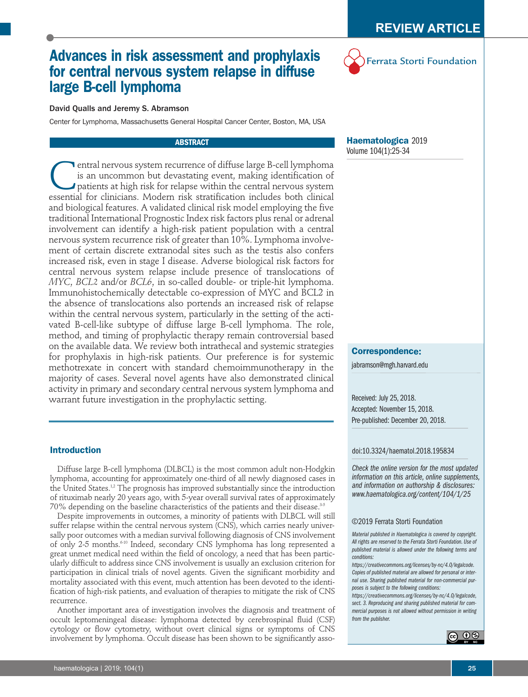Ferrata Storti Foundation

# **Advances in risk assessment and prophylaxis for central nervous system relapse in diffuse large B-cell lymphoma**



Center for Lymphoma, Massachusetts General Hospital Cancer Center, Boston, MA, USA

# **ABSTRACT**

**C**entral nervous system recurrence of diffuse large B-cell lymphoma is an uncommon but devastating event, making identification of patients at high risk for relapse within the central nervous system essential for clinicia is an uncommon but devastating event, making identification of patients at high risk for relapse within the central nervous system essential for clinicians. Modern risk stratification includes both clinical and biological features. A validated clinical risk model employing the five traditional International Prognostic Index risk factors plus renal or adrenal involvement can identify a high-risk patient population with a central nervous system recurrence risk of greater than 10%. Lymphoma involvement of certain discrete extranodal sites such as the testis also confers increased risk, even in stage I disease. Adverse biological risk factors for central nervous system relapse include presence of translocations of *MYC*, *BCL2* and/or *BCL6*, in so-called double- or triple-hit lymphoma. Immunohistochemically detectable co-expression of MYC and BCL2 in the absence of translocations also portends an increased risk of relapse within the central nervous system, particularly in the setting of the activated B-cell-like subtype of diffuse large B-cell lymphoma. The role, method, and timing of prophylactic therapy remain controversial based on the available data. We review both intrathecal and systemic strategies for prophylaxis in high-risk patients. Our preference is for systemic methotrexate in concert with standard chemoimmunotherapy in the majority of cases. Several novel agents have also demonstrated clinical activity in primary and secondary central nervous system lymphoma and warrant future investigation in the prophylactic setting.

# **Introduction**

Diffuse large B-cell lymphoma (DLBCL) is the most common adult non-Hodgkin lymphoma, accounting for approximately one-third of all newly diagnosed cases in the United States.<sup>1,2</sup> The prognosis has improved substantially since the introduction of rituximab nearly 20 years ago, with 5-year overall survival rates of approximately 70% depending on the baseline characteristics of the patients and their disease.<sup>3-5</sup>

Despite improvements in outcomes, a minority of patients with DLBCL will still suffer relapse within the central nervous system (CNS), which carries nearly universally poor outcomes with a median survival following diagnosis of CNS involvement of only 2-5 months.6-10 Indeed, secondary CNS lymphoma has long represented a great unmet medical need within the field of oncology, a need that has been particularly difficult to address since CNS involvement is usually an exclusion criterion for participation in clinical trials of novel agents. Given the significant morbidity and mortality associated with this event, much attention has been devoted to the identification of high-risk patients, and evaluation of therapies to mitigate the risk of CNS recurrence.

Another important area of investigation involves the diagnosis and treatment of occult leptomeningeal disease: lymphoma detected by cerebrospinal fluid (CSF) cytology or flow cytometry, without overt clinical signs or symptoms of CNS involvement by lymphoma. Occult disease has been shown to be significantly asso**Haematologica** 2019 Volume 104(1):25-34

### **Correspondence:**

jabramson@mgh.harvard.edu

Received: July 25, 2018. Accepted: November 15, 2018. Pre-published: December 20, 2018.

#### doi:10.3324/haematol.2018.195834

*Check the online version for the most updated information on this article, online supplements, and information on authorship & disclosures: www.haematologica.org/content/104/1/25*

#### ©2019 Ferrata Storti Foundation

*Material published in Haematologica is covered by copyright. All rights are reserved to the Ferrata Storti Foundation. Use of published material is allowed under the following terms and conditions:* 

*https://creativecommons.org/licenses/by-nc/4.0/legalcode. Copies of published material are allowed for personal or internal use. Sharing published material for non-commercial purposes is subject to the following conditions:* 

*https://creativecommons.org/licenses/by-nc/4.0/legalcode, sect. 3. Reproducing and sharing published material for commercial purposes is not allowed without permission in writing from the publisher.*

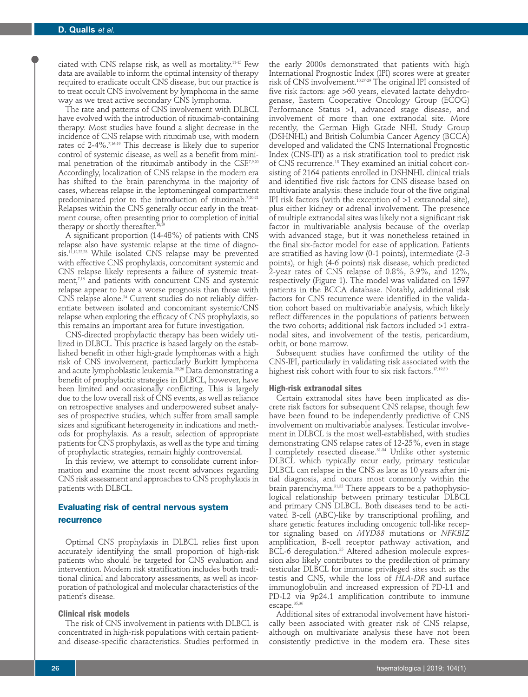ciated with CNS relapse risk, as well as mortality.11-15 Few data are available to inform the optimal intensity of therapy required to eradicate occult CNS disease, but our practice is to treat occult CNS involvement by lymphoma in the same way as we treat active secondary CNS lymphoma.

The rate and patterns of CNS involvement with DLBCL have evolved with the introduction of rituximab-containing therapy. Most studies have found a slight decrease in the incidence of CNS relapse with rituximab use, with modern rates of 2-4%.7,16-19 This decrease is likely due to superior control of systemic disease, as well as a benefit from minimal penetration of the rituximab antibody in the CSF.7,9,20 Accordingly, localization of CNS relapse in the modern era has shifted to the brain parenchyma in the majority of cases, whereas relapse in the leptomeningeal compartment predominated prior to the introduction of rituximab.<sup>7,20-21</sup> Relapses within the CNS generally occur early in the treatment course, often presenting prior to completion of initial therapy or shortly thereafter.<sup>16,</sup>

A significant proportion (14-48%) of patients with CNS relapse also have systemic relapse at the time of diagnosis.<sup>11,12,22,23</sup> While isolated CNS relapse may be prevented with effective CNS prophylaxis, concomitant systemic and CNS relapse likely represents a failure of systemic treatment,<sup>7,16</sup> and patients with concurrent CNS and systemic relapse appear to have a worse prognosis than those with CNS relapse alone.<sup>24</sup> Current studies do not reliably differentiate between isolated and concomitant systemic/CNS relapse when exploring the efficacy of CNS prophylaxis, so this remains an important area for future investigation.

CNS-directed prophylactic therapy has been widely utilized in DLBCL. This practice is based largely on the established benefit in other high-grade lymphomas with a high risk of CNS involvement, particularly Burkitt lymphoma and acute lymphoblastic leukemia.25,26 Data demonstrating a benefit of prophylactic strategies in DLBCL, however, have been limited and occasionally conflicting. This is largely due to the low overall risk of CNS events, as well as reliance on retrospective analyses and underpowered subset analyses of prospective studies, which suffer from small sample sizes and significant heterogeneity in indications and methods for prophylaxis. As a result, selection of appropriate patients for CNS prophylaxis, as well as the type and timing of prophylactic strategies, remain highly controversial.

In this review, we attempt to consolidate current information and examine the most recent advances regarding CNS risk assessment and approaches to CNS prophylaxis in patients with DLBCL.

# **Evaluating risk of central nervous system recurrence**

Optimal CNS prophylaxis in DLBCL relies first upon accurately identifying the small proportion of high-risk patients who should be targeted for CNS evaluation and intervention. Modern risk stratification includes both traditional clinical and laboratory assessments, as well as incorporation of pathological and molecular characteristics of the patient's disease.

# **Clinical risk models**

The risk of CNS involvement in patients with DLBCL is concentrated in high-risk populations with certain patientand disease-specific characteristics. Studies performed in

the early 2000s demonstrated that patients with high International Prognostic Index (IPI) scores were at greater risk of CNS involvement.10,27-29 The original IPI consisted of five risk factors: age >60 years, elevated lactate dehydrogenase, Eastern Cooperative Oncology Group (ECOG) Performance Status >1, advanced stage disease, and involvement of more than one extranodal site. More recently, the German High Grade NHL Study Group (DSHNHL) and British Columbia Cancer Agency (BCCA) developed and validated the CNS International Prognostic Index (CNS-IPI) as a risk stratification tool to predict risk of CNS recurrence.18 They examined an initial cohort consisting of 2164 patients enrolled in DSHNHL clinical trials and identified five risk factors for CNS disease based on multivariate analysis: these include four of the five original IPI risk factors (with the exception of >1 extranodal site), plus either kidney or adrenal involvement. The presence of multiple extranodal sites was likely not a significant risk factor in multivariable analysis because of the overlap with advanced stage, but it was nonetheless retained in the final six-factor model for ease of application. Patients are stratified as having low (0-1 points), intermediate (2-3 points), or high (4-6 points) risk disease, which predicted 2-year rates of CNS relapse of 0.8%, 3.9%, and 12%, respectively (Figure 1). The model was validated on 1597 patients in the BCCA database. Notably, additional risk factors for CNS recurrence were identified in the validation cohort based on multivariable analysis, which likely reflect differences in the populations of patients between the two cohorts; additional risk factors included >1 extranodal sites, and involvement of the testis, pericardium, orbit, or bone marrow.

Subsequent studies have confirmed the utility of the CNS-IPI, particularly in validating risk associated with the highest risk cohort with four to six risk factors.<sup>17,19,30</sup>

# **High-risk extranodal sites**

Certain extranodal sites have been implicated as discrete risk factors for subsequent CNS relapse, though few have been found to be independently predictive of CNS involvement on multivariable analyses. Testicular involvement in DLBCL is the most well-established, with studies demonstrating CNS relapse rates of 12-25%, even in stage I completely resected disease.31-34 Unlike other systemic DLBCL which typically recur early, primary testicular DLBCL can relapse in the CNS as late as 10 years after initial diagnosis, and occurs most commonly within the brain parenchyma.<sup>31,32</sup> There appears to be a pathophysiological relationship between primary testicular DLBCL and primary CNS DLBCL. Both diseases tend to be activated B-cell (ABC)-like by transcriptional profiling, and share genetic features including oncogenic toll-like receptor signaling based on *MYD88* mutations or *NFKBIZ* amplification, B-cell receptor pathway activation, and BCL-6 deregulation.<sup>35</sup> Altered adhesion molecule expression also likely contributes to the predilection of primary testicular DLBCL for immune privileged sites such as the testis and CNS, while the loss of *HLA-DR* and surface immunoglobulin and increased expression of PD-L1 and PD-L2 via 9p24.1 amplification contribute to immune escape.<sup>35,36</sup>

Additional sites of extranodal involvement have historically been associated with greater risk of CNS relapse, although on multivariate analysis these have not been consistently predictive in the modern era. These sites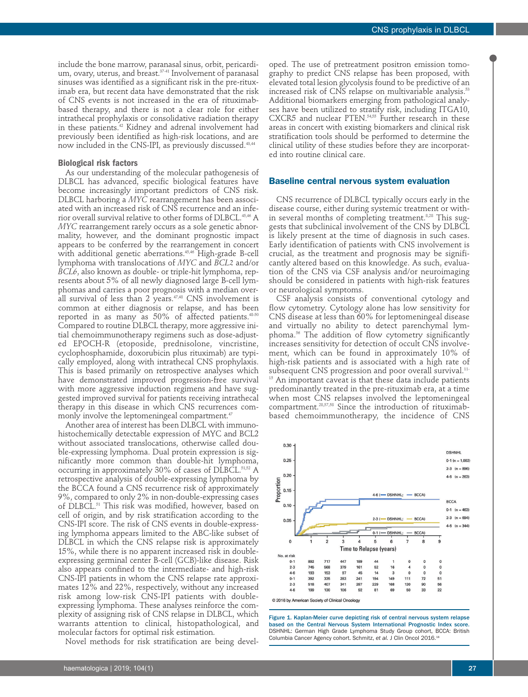include the bone marrow, paranasal sinus, orbit, pericardium, ovary, uterus, and breast.<sup>37.41</sup> Involvement of paranasal sinuses was identified as a significant risk in the pre-rituximab era, but recent data have demonstrated that the risk of CNS events is not increased in the era of rituximabbased therapy, and there is not a clear role for either intrathecal prophylaxis or consolidative radiation therapy in these patients.<sup>42</sup> Kidney and adrenal involvement had previously been identified as high-risk locations, and are now included in the CNS-IPI, as previously discussed.43,44

# **Biological risk factors**

As our understanding of the molecular pathogenesis of DLBCL has advanced, specific biological features have become increasingly important predictors of CNS risk. DLBCL harboring a *MYC* rearrangement has been associated with an increased risk of CNS recurrence and an inferior overall survival relative to other forms of DLBCL.45,46 A *MYC* rearrangement rarely occurs as a sole genetic abnormality, however, and the dominant prognostic impact appears to be conferred by the rearrangement in concert with additional genetic aberrations.45,46 High-grade B-cell lymphoma with translocations of *MYC* and *BCL2* and/or *BCL6*, also known as double- or triple-hit lymphoma, represents about 5% of all newly diagnosed large B-cell lymphomas and carries a poor prognosis with a median overall survival of less than 2 years.<sup>47,48</sup> CNS involvement is common at either diagnosis or relapse, and has been reported in as many as 50% of affected patients.48-50 Compared to routine DLBCL therapy, more aggressive initial chemoimmunotherapy regimens such as dose-adjusted EPOCH-R (etoposide, prednisolone, vincristine, cyclophosphamide, doxorubicin plus rituximab) are typically employed, along with intrathecal CNS prophylaxis. This is based primarily on retrospective analyses which have demonstrated improved progression-free survival with more aggressive induction regimens and have suggested improved survival for patients receiving intrathecal therapy in this disease in which CNS recurrences commonly involve the leptomeningeal compartment.<sup>47</sup>

Another area of interest has been DLBCL with immunohistochemically detectable expression of MYC and BCL2 without associated translocations, otherwise called double-expressing lymphoma. Dual protein expression is significantly more common than double-hit lymphoma, occurring in approximately 30% of cases of DLBCL.<sup>51,52</sup> A retrospective analysis of double-expressing lymphoma by the BCCA found a CNS recurrence risk of approximately 9%, compared to only 2% in non-double-expressing cases of DLBCL.<sup>51</sup> This risk was modified, however, based on cell of origin, and by risk stratification according to the CNS-IPI score. The risk of CNS events in double-expressing lymphoma appears limited to the ABC-like subset of DLBCL in which the CNS relapse risk is approximately 15%, while there is no apparent increased risk in doubleexpressing germinal center B-cell (GCB)-like disease. Risk also appears confined to the intermediate- and high-risk CNS-IPI patients in whom the CNS relapse rate approximates 12% and 22%, respectively, without any increased risk among low-risk CNS-IPI patients with doubleexpressing lymphoma. These analyses reinforce the complexity of assigning risk of CNS relapse in DLBCL, which warrants attention to clinical, histopathological, and molecular factors for optimal risk estimation.

Novel methods for risk stratification are being devel-

oped. The use of pretreatment positron emission tomography to predict CNS relapse has been proposed, with elevated total lesion glycolysis found to be predictive of an increased risk of CNS relapse on multivariable analysis.<sup>53</sup> Additional biomarkers emerging from pathological analyses have been utilized to stratify risk, including ITGA10, CXCR5 and nuclear PTEN.<sup>54,55</sup> Further research in these areas in concert with existing biomarkers and clinical risk stratification tools should be performed to determine the clinical utility of these studies before they are incorporated into routine clinical care.

# **Baseline central nervous system evaluation**

CNS recurrence of DLBCL typically occurs early in the disease course, either during systemic treatment or within several months of completing treatment.8,28 This suggests that subclinical involvement of the CNS by DLBCL is likely present at the time of diagnosis in such cases. Early identification of patients with CNS involvement is crucial, as the treatment and prognosis may be significantly altered based on this knowledge. As such, evaluation of the CNS via CSF analysis and/or neuroimaging should be considered in patients with high-risk features or neurological symptoms.

CSF analysis consists of conventional cytology and flow cytometry. Cytology alone has low sensitivity for CNS disease at less than 60% for leptomeningeal disease and virtually no ability to detect parenchymal lymphoma.56 The addition of flow cytometry significantly increases sensitivity for detection of occult CNS involvement, which can be found in approximately 10% of high-risk patients and is associated with a high rate of subsequent CNS progression and poor overall survival.11-

 $15$  An important caveat is that these data include patients predominantly treated in the pre-rituximab era, at a time when most CNS relapses involved the leptomeningeal compartment.28,57,58 Since the introduction of rituximabbased chemoimmunotherapy, the incidence of CNS



Figure 1. Kaplan-Meier curve depicting risk of central nervous system relapse based on the Central Nervous System International Prognostic Index score. DSHNHL: German High Grade Lymphoma Study Group cohort, BCCA: British Columbia Cancer Agency cohort. Schmitz, *et al.* J Clin Oncol 2016.18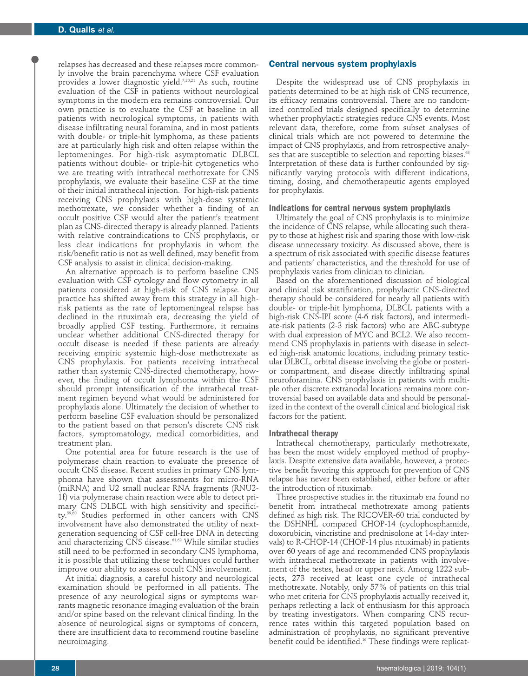relapses has decreased and these relapses more commonly involve the brain parenchyma where CSF evaluation provides a lower diagnostic yield.7,20,21 As such, routine evaluation of the CSF in patients without neurological symptoms in the modern era remains controversial. Our own practice is to evaluate the CSF at baseline in all patients with neurological symptoms, in patients with disease infiltrating neural foramina, and in most patients with double- or triple-hit lymphoma, as these patients are at particularly high risk and often relapse within the leptomeninges. For high-risk asymptomatic DLBCL patients without double- or triple-hit cytogenetics who we are treating with intrathecal methotrexate for CNS prophylaxis, we evaluate their baseline CSF at the time of their initial intrathecal injection. For high-risk patients receiving CNS prophylaxis with high-dose systemic methotrexate, we consider whether a finding of an occult positive CSF would alter the patient's treatment plan as CNS-directed therapy is already planned. Patients with relative contraindications to CNS prophylaxis, or less clear indications for prophylaxis in whom the risk/benefit ratio is not as well defined, may benefit from CSF analysis to assist in clinical decision-making.

An alternative approach is to perform baseline CNS evaluation with CSF cytology and flow cytometry in all patients considered at high-risk of CNS relapse. Our practice has shifted away from this strategy in all highrisk patients as the rate of leptomeningeal relapse has declined in the rituximab era, decreasing the yield of broadly applied CSF testing. Furthermore, it remains unclear whether additional CNS-directed therapy for occult disease is needed if these patients are already receiving empiric systemic high-dose methotrexate as CNS prophylaxis. For patients receiving intrathecal rather than systemic CNS-directed chemotherapy, however, the finding of occult lymphoma within the CSF should prompt intensification of the intrathecal treatment regimen beyond what would be administered for prophylaxis alone. Ultimately the decision of whether to perform baseline CSF evaluation should be personalized to the patient based on that person's discrete CNS risk factors, symptomatology, medical comorbidities, and treatment plan.

One potential area for future research is the use of polymerase chain reaction to evaluate the presence of occult CNS disease. Recent studies in primary CNS lymphoma have shown that assessments for micro-RNA (miRNA) and U2 small nuclear RNA fragments (RNU2- 1f) via polymerase chain reaction were able to detect primary CNS DLBCL with high sensitivity and specificity.59,60 Studies performed in other cancers with CNS involvement have also demonstrated the utility of nextgeneration sequencing of CSF cell-free DNA in detecting and characterizing CNS disease.<sup>61,62</sup> While similar studies still need to be performed in secondary CNS lymphoma, it is possible that utilizing these techniques could further improve our ability to assess occult CNS involvement.

At initial diagnosis, a careful history and neurological examination should be performed in all patients. The presence of any neurological signs or symptoms warrants magnetic resonance imaging evaluation of the brain and/or spine based on the relevant clinical finding. In the absence of neurological signs or symptoms of concern, there are insufficient data to recommend routine baseline neuroimaging.

# **Central nervous system prophylaxis**

Despite the widespread use of CNS prophylaxis in patients determined to be at high risk of CNS recurrence, its efficacy remains controversial. There are no randomized controlled trials designed specifically to determine whether prophylactic strategies reduce CNS events. Most relevant data, therefore, come from subset analyses of clinical trials which are not powered to determine the impact of CNS prophylaxis, and from retrospective analyses that are susceptible to selection and reporting biases.<sup>63</sup> Interpretation of these data is further confounded by significantly varying protocols with different indications, timing, dosing, and chemotherapeutic agents employed for prophylaxis.

## **Indications for central nervous system prophylaxis**

Ultimately the goal of CNS prophylaxis is to minimize the incidence of CNS relapse, while allocating such therapy to those at highest risk and sparing those with low-risk disease unnecessary toxicity. As discussed above, there is a spectrum of risk associated with specific disease features and patients' characteristics, and the threshold for use of prophylaxis varies from clinician to clinician.

Based on the aforementioned discussion of biological and clinical risk stratification, prophylactic CNS-directed therapy should be considered for nearly all patients with double- or triple-hit lymphoma, DLBCL patients with a high-risk CNS-IPI score (4-6 risk factors), and intermediate-risk patients (2-3 risk factors) who are ABC-subtype with dual expression of MYC and BCL2. We also recommend CNS prophylaxis in patients with disease in selected high-risk anatomic locations, including primary testicular DLBCL, orbital disease involving the globe or posterior compartment, and disease directly infiltrating spinal neuroforamina. CNS prophylaxis in patients with multiple other discrete extranodal locations remains more controversial based on available data and should be personalized in the context of the overall clinical and biological risk factors for the patient.

#### **Intrathecal therapy**

Intrathecal chemotherapy, particularly methotrexate, has been the most widely employed method of prophylaxis. Despite extensive data available, however, a protective benefit favoring this approach for prevention of CNS relapse has never been established, either before or after the introduction of rituximab.

Three prospective studies in the rituximab era found no benefit from intrathecal methotrexate among patients defined as high risk. The RICOVER-60 trial conducted by the DSHNHL compared CHOP-14 (cyclophosphamide, doxorubicin, vincristine and prednisolone at 14-day intervals) to R-CHOP-14 (CHOP-14 plus rituximab) in patients over 60 years of age and recommended CNS prophylaxis with intrathecal methotrexate in patients with involvement of the testes, head or upper neck. Among 1222 subjects, 273 received at least one cycle of intrathecal methotrexate. Notably, only 57% of patients on this trial who met criteria for CNS prophylaxis actually received it, perhaps reflecting a lack of enthusiasm for this approach by treating investigators. When comparing CNS recurrence rates within this targeted population based on administration of prophylaxis, no significant preventive benefit could be identified.<sup>16</sup> These findings were replicat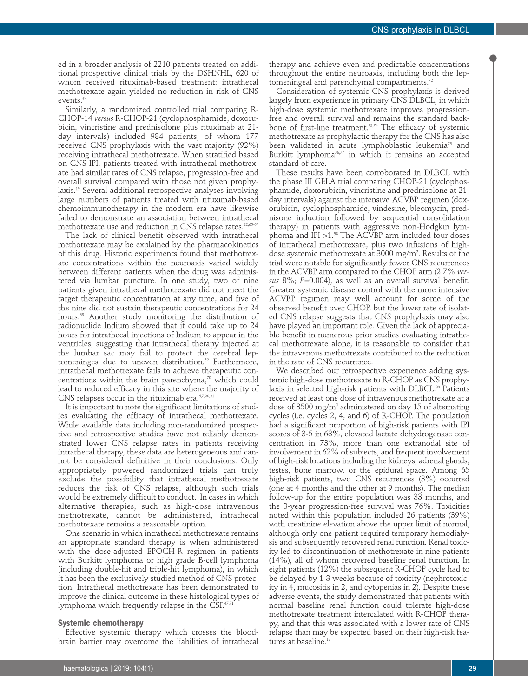ed in a broader analysis of 2210 patients treated on additional prospective clinical trials by the DSHNHL, 620 of whom received rituximab-based treatment: intrathecal methotrexate again yielded no reduction in risk of CNS events.<sup>64</sup>

Similarly, a randomized controlled trial comparing R-CHOP-14 *versus* R-CHOP-21 (cyclophosphamide, doxorubicin, vincristine and prednisolone plus rituximab at 21 day intervals) included 984 patients, of whom 177 received CNS prophylaxis with the vast majority (92%) receiving intrathecal methotrexate. When stratified based on CNS-IPI, patients treated with intrathecal methotrexate had similar rates of CNS relapse, progression-free and overall survival compared with those not given prophylaxis.19 Several additional retrospective analyses involving large numbers of patients treated with rituximab-based chemoimmunotherapy in the modern era have likewise failed to demonstrate an association between intrathecal methotrexate use and reduction in CNS relapse rates.<sup>22,65-67</sup>

The lack of clinical benefit observed with intrathecal methotrexate may be explained by the pharmacokinetics of this drug. Historic experiments found that methotrexate concentrations within the neuroaxis varied widely between different patients when the drug was administered via lumbar puncture. In one study, two of nine patients given intrathecal methotrexate did not meet the target therapeutic concentration at any time, and five of the nine did not sustain therapeutic concentrations for 24 hours.68 Another study monitoring the distribution of radionuclide Indium showed that it could take up to 24 hours for intrathecal injections of Indium to appear in the ventricles, suggesting that intrathecal therapy injected at the lumbar sac may fail to protect the cerebral leptomeninges due to uneven distribution.<sup>69</sup> Furthermore, intrathecal methotrexate fails to achieve therapeutic concentrations within the brain parenchyma,<sup>70</sup> which could lead to reduced efficacy in this site where the majority of CNS relapses occur in the rituximab era.<sup>6,7,20,21</sup>

It is important to note the significant limitations of studies evaluating the efficacy of intrathecal methotrexate. While available data including non-randomized prospective and retrospective studies have not reliably demonstrated lower CNS relapse rates in patients receiving intrathecal therapy, these data are heterogeneous and cannot be considered definitive in their conclusions. Only appropriately powered randomized trials can truly exclude the possibility that intrathecal methotrexate reduces the risk of CNS relapse, although such trials would be extremely difficult to conduct. In cases in which alternative therapies, such as high-dose intravenous methotrexate, cannot be administered, intrathecal methotrexate remains a reasonable option.

One scenario in which intrathecal methotrexate remains an appropriate standard therapy is when administered with the dose-adjusted EPOCH-R regimen in patients with Burkitt lymphoma or high grade B-cell lymphoma (including double-hit and triple-hit lymphoma), in which it has been the exclusively studied method of CNS protection. Intrathecal methotrexate has been demonstrated to improve the clinical outcome in these histological types of lymphoma which frequently relapse in the  $CSF^{47,71}$ 

# **Systemic chemotherapy**

Effective systemic therapy which crosses the bloodbrain barrier may overcome the liabilities of intrathecal therapy and achieve even and predictable concentrations throughout the entire neuroaxis, including both the leptomeningeal and parenchymal compartments.<sup>72</sup>

Consideration of systemic CNS prophylaxis is derived largely from experience in primary CNS DLBCL, in which high-dose systemic methotrexate improves progressionfree and overall survival and remains the standard backbone of first-line treatment.<sup>73,74</sup> The efficacy of systemic methotrexate as prophylactic therapy for the CNS has also been validated in acute lymphoblastic leukemia<sup>75</sup> and Burkitt lymphoma<sup>76,77</sup> in which it remains an accepted standard of care.

These results have been corroborated in DLBCL with the phase III GELA trial comparing CHOP-21 (cyclophosphamide, doxorubicin, vincristine and prednisolone at 21 day intervals) against the intensive ACVBP regimen (doxorubicin, cyclophosphamide, vindesine, bleomycin, prednisone induction followed by sequential consolidation therapy) in patients with aggressive non-Hodgkin lymphoma and IPI  $>1.^{58}$  The ACVBP arm included four doses of intrathecal methotrexate, plus two infusions of highdose systemic methotrexate at 3000 mg/m $^{\circ}$ . Results of the trial were notable for significantly fewer CNS recurrences in the ACVBP arm compared to the CHOP arm (2.7% *versus* 8%; *P*=0.004), as well as an overall survival benefit. Greater systemic disease control with the more intensive ACVBP regimen may well account for some of the observed benefit over CHOP, but the lower rate of isolated CNS relapse suggests that CNS prophylaxis may also have played an important role. Given the lack of appreciable benefit in numerous prior studies evaluating intrathecal methotrexate alone, it is reasonable to consider that the intravenous methotrexate contributed to the reduction in the rate of CNS recurrence.

We described our retrospective experience adding systemic high-dose methotrexate to R-CHOP as CNS prophylaxis in selected high-risk patients with DLBCL.<sup>80</sup> Patients received at least one dose of intravenous methotrexate at a dose of 3500 mg/m2 administered on day 15 of alternating cycles (i.e. cycles 2, 4, and 6) of R-CHOP. The population had a significant proportion of high-risk patients with IPI scores of 3-5 in 68%, elevated lactate dehydrogenase concentration in 73%, more than one extranodal site of involvement in 62% of subjects, and frequent involvement of high-risk locations including the kidneys, adrenal glands, testes, bone marrow, or the epidural space. Among 65 high-risk patients, two CNS recurrences (3%) occurred (one at 4 months and the other at 9 months). The median follow-up for the entire population was 33 months, and the 3-year progression-free survival was 76%. Toxicities noted within this population included 26 patients (39%) with creatinine elevation above the upper limit of normal, although only one patient required temporary hemodialysis and subsequently recovered renal function. Renal toxicity led to discontinuation of methotrexate in nine patients (14%), all of whom recovered baseline renal function. In eight patients (12%) the subsequent R-CHOP cycle had to be delayed by 1-3 weeks because of toxicity (nephrotoxicity in 4, mucositis in 2, and cytopenias in 2). Despite these adverse events, the study demonstrated that patients with normal baseline renal function could tolerate high-dose methotrexate treatment intercalated with R-CHOP therapy, and that this was associated with a lower rate of CNS relapse than may be expected based on their high-risk features at baseline.<sup>18</sup>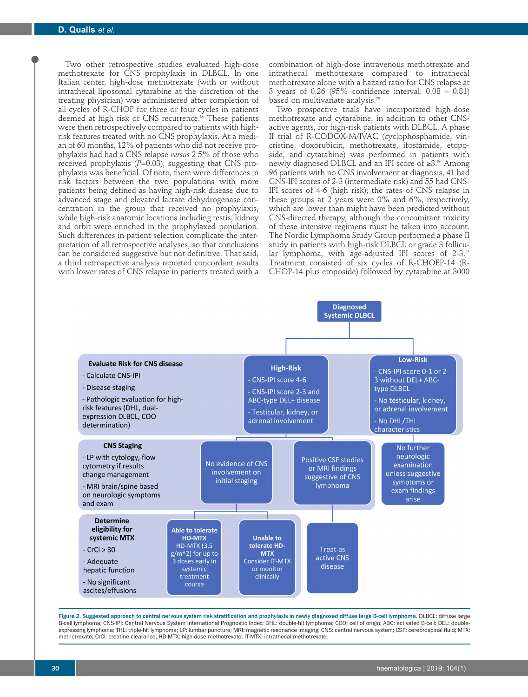Two other retrospective studies evaluated high-dose methotrexate for CNS prophylaxis in DLBCL. In one Italian center, high-dose methotrexate (with or without intrathecal liposomal cytarabine at the discretion of the treating physician) was administered after completion of all cycles of R-CHOP for three or four cycles in patients deemed at high risk of CNS recurrence.<sup>66</sup> These patients were then retrospectively compared to patients with highrisk features treated with no CNS prophylaxis. At a median of 60 months, 12% of patients who did not receive prophylaxis had had a CNS relapse *versus* 2.5% of those who received prophylaxis (*P*=0.03), suggesting that CNS prophylaxis was beneficial. Of note, there were differences in risk factors between the two populations with more patients being defined as having high-risk disease due to advanced stage and elevated lactate dehydrogenase concentration in the group that received no prophylaxis, while high-risk anatomic locations including testis, kidney and orbit were enriched in the prophylaxed population. Such differences in patient selection complicate the interpretation of all retrospective analyses, so that conclusions can be considered suggestive but not definitive. That said, a third retrospective analysis reported concordant results with lower rates of CNS relapse in patients treated with a

combination of high-dose intravenous methotrexate and intrathecal methotrexate compared to intrathecal methotrexate alone with a hazard ratio for CNS relapse at 3 years of 0.26 (95% confidence interval: 0.08 – 0.81) based on multivariate analysis.<sup>79</sup>

Two prospective trials have incorporated high-dose methotrexate and cytarabine, in addition to other CNSactive agents, for high-risk patients with DLBCL. A phase II trial of R-CODOX-M/IVAC (cyclophosphamide, vincristine, doxorubicin, methotrexate, ifosfamide, etoposide, and cytarabine) was performed in patients with newly diagnosed DLBCL and an IPI score of ≥3.<sup>80</sup> Among 96 patients with no CNS involvement at diagnosis, 41 had CNS-IPI scores of 2-3 (intermediate risk) and 55 had CNS-IPI scores of 4-6 (high risk); the rates of CNS relapse in these groups at 2 years were 0% and 6%, respectively, which are lower than might have been predicted without CNS-directed therapy, although the concomitant toxicity of these intensive regimens must be taken into account. The Nordic Lymphoma Study Group performed a phase II study in patients with high-risk DLBCL or grade 3 follicular lymphoma, with age-adjusted IPI scores of 2-3.<sup>23</sup> Treatment consisted of six cycles of R-CHOEP-14 (R-CHOP-14 plus etoposide) followed by cytarabine at 3000



Figure 2. Suggested approach to central nervous system risk stratification and prophylaxis in newly diagnosed diffuse large B-cell lymphoma. DLBCL: diffuse large B-cell lymphoma; CNS-IPI: Central Nervous System International Prognostic Index; DHL: double-hit lymphoma; COO: cell of origin; ABC: activated B-cell; DEL: doubleexpressing lymphoma; THL: triple-hit lymphoma; LP: lumbar puncture; MRI: magnetic resonance imaging; CNS: central nervous system; CSF: cerebrospinal fluid; MTX: methotrexate; CrCl: creatine clearance; HD-MTX: high-dose methotrexate; IT-MTX: intrathecal methotrexate.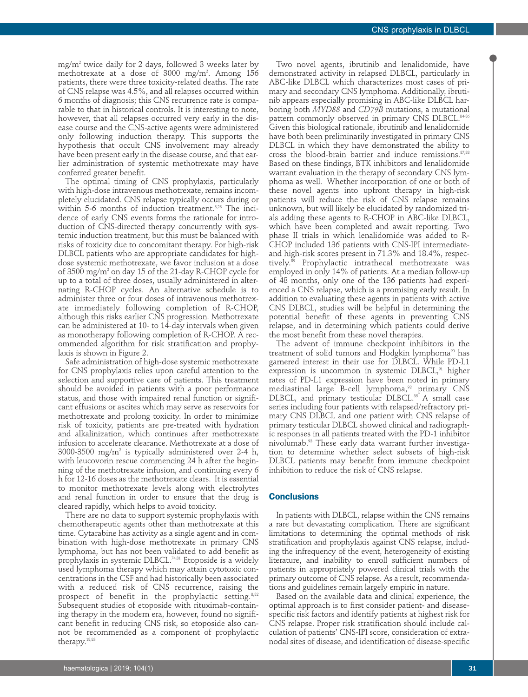mg/m2 twice daily for 2 days, followed 3 weeks later by methotrexate at a dose of 3000 mg/m2 . Among 156 patients, there were three toxicity-related deaths. The rate of CNS relapse was 4.5%, and all relapses occurred within 6 months of diagnosis; this CNS recurrence rate is comparable to that in historical controls. It is interesting to note, however, that all relapses occurred very early in the disease course and the CNS-active agents were administered only following induction therapy. This supports the hypothesis that occult CNS involvement may already have been present early in the disease course, and that earlier administration of systemic methotrexate may have conferred greater benefit.

The optimal timing of CNS prophylaxis, particularly with high-dose intravenous methotrexate, remains incompletely elucidated. CNS relapse typically occurs during or within 5-6 months of induction treatment.<sup>8,28</sup> The incidence of early CNS events forms the rationale for introduction of CNS-directed therapy concurrently with systemic induction treatment, but this must be balanced with risks of toxicity due to concomitant therapy. For high-risk DLBCL patients who are appropriate candidates for highdose systemic methotrexate, we favor inclusion at a dose of 3500 mg/m2 on day 15 of the 21-day R-CHOP cycle for up to a total of three doses, usually administered in alternating R-CHOP cycles. An alternative schedule is to administer three or four doses of intravenous methotrexate immediately following completion of R-CHOP, although this risks earlier CNS progression. Methotrexate can be administered at 10- to 14-day intervals when given as monotherapy following completion of R-CHOP. A recommended algorithm for risk stratification and prophylaxis is shown in Figure 2.

Safe administration of high-dose systemic methotrexate for CNS prophylaxis relies upon careful attention to the selection and supportive care of patients. This treatment should be avoided in patients with a poor performance status, and those with impaired renal function or significant effusions or ascites which may serve as reservoirs for methotrexate and prolong toxicity. In order to minimize risk of toxicity, patients are pre-treated with hydration and alkalinization, which continues after methotrexate infusion to accelerate clearance. Methotrexate at a dose of  $3000-3500$  mg/m<sup>2</sup> is typically administered over 2-4 h, with leucovorin rescue commencing 24 h after the beginning of the methotrexate infusion, and continuing every 6 h for 12-16 doses as the methotrexate clears. It is essential to monitor methotrexate levels along with electrolytes and renal function in order to ensure that the drug is cleared rapidly, which helps to avoid toxicity.

There are no data to support systemic prophylaxis with chemotherapeutic agents other than methotrexate at this time. Cytarabine has activity as a single agent and in combination with high-dose methotrexate in primary CNS lymphoma, but has not been validated to add benefit as prophylaxis in systemic DLBCL.<sup>74,81</sup> Etoposide is a widely used lymphoma therapy which may attain cytotoxic concentrations in the CSF and had historically been associated with a reduced risk of CNS recurrence, raising the prospect of benefit in the prophylactic setting.<sup>8,82</sup> Subsequent studies of etoposide with rituximab-containing therapy in the modern era, however, found no significant benefit in reducing CNS risk, so etoposide also cannot be recommended as a component of prophylactic therapy.18,83

Two novel agents, ibrutinib and lenalidomide, have demonstrated activity in relapsed DLBCL, particularly in ABC-like DLBCL which characterizes most cases of primary and secondary CNS lymphoma. Additionally, ibrutinib appears especially promising in ABC-like DLBCL harboring both *MYD88* and *CD79B* mutations, a mutational pattern commonly observed in primary CNS DLBCL.<sup>84-86</sup> Given this biological rationale, ibrutinib and lenalidomide have both been preliminarily investigated in primary CNS DLBCL in which they have demonstrated the ability to cross the blood-brain barrier and induce remissions.<sup>87,88</sup> Based on these findings, BTK inhibitors and lenalidomide warrant evaluation in the therapy of secondary CNS lymphoma as well. Whether incorporation of one or both of these novel agents into upfront therapy in high-risk patients will reduce the risk of CNS relapse remains unknown, but will likely be elucidated by randomized trials adding these agents to R-CHOP in ABC-like DLBCL, which have been completed and await reporting. Two phase II trials in which lenalidomide was added to R-CHOP included 136 patients with CNS-IPI intermediateand high-risk scores present in 71.3% and 18.4%, respectively.89 Prophylactic intrathecal methotrexate was employed in only 14% of patients. At a median follow-up of 48 months, only one of the 136 patients had experienced a CNS relapse, which is a promising early result. In addition to evaluating these agents in patients with active CNS DLBCL, studies will be helpful in determining the potential benefit of these agents in preventing CNS relapse, and in determining which patients could derive the most benefit from these novel therapies.

The advent of immune checkpoint inhibitors in the treatment of solid tumors and Hodgkin lymphoma<sup>90</sup> has garnered interest in their use for DLBCL. While PD-L1 expression is uncommon in systemic DLBCL,<sup>91</sup> higher rates of PD-L1 expression have been noted in primary mediastinal large B-cell lymphoma, $^{92}$  primary CNS DLBCL, and primary testicular DLBCL.<sup>35</sup> A small case series including four patients with relapsed/refractory primary CNS DLBCL and one patient with CNS relapse of primary testicular DLBCL showed clinical and radiographic responses in all patients treated with the PD-1 inhibitor nivolumab.<sup>93</sup> These early data warrant further investigation to determine whether select subsets of high-risk DLBCL patients may benefit from immune checkpoint inhibition to reduce the risk of CNS relapse.

## **Conclusions**

In patients with DLBCL, relapse within the CNS remains a rare but devastating complication. There are significant limitations to determining the optimal methods of risk stratification and prophylaxis against CNS relapse, including the infrequency of the event, heterogeneity of existing literature, and inability to enroll sufficient numbers of patients in appropriately powered clinical trials with the primary outcome of CNS relapse. As a result, recommendations and guidelines remain largely empiric in nature.

Based on the available data and clinical experience, the optimal approach is to first consider patient- and diseasespecific risk factors and identify patients at highest risk for CNS relapse. Proper risk stratification should include calculation of patients' CNS-IPI score, consideration of extranodal sites of disease, and identification of disease-specific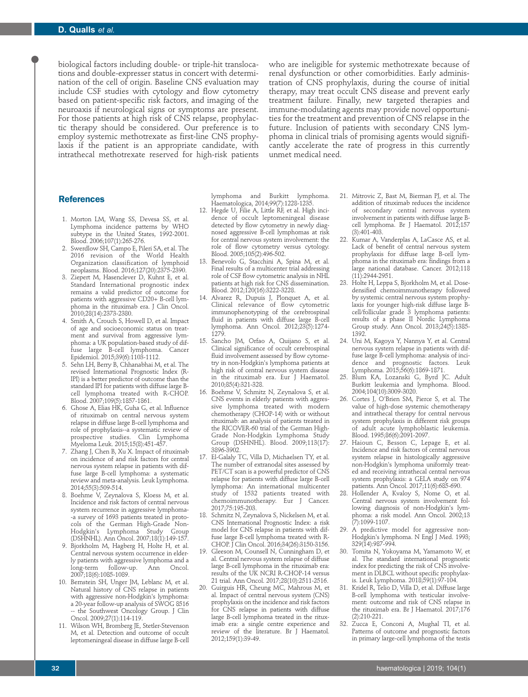biological factors including double- or triple-hit translocations and double-expresser status in concert with determination of the cell of origin. Baseline CNS evaluation may include CSF studies with cytology and flow cytometry based on patient-specific risk factors, and imaging of the neuroaxis if neurological signs or symptoms are present. For those patients at high risk of CNS relapse, prophylactic therapy should be considered. Our preference is to employ systemic methotrexate as first-line CNS prophylaxis if the patient is an appropriate candidate, with intrathecal methotrexate reserved for high-risk patients who are ineligible for systemic methotrexate because of renal dysfunction or other comorbidities. Early administration of CNS prophylaxis, during the course of initial therapy, may treat occult CNS disease and prevent early treatment failure. Finally, new targeted therapies and immune-modulating agents may provide novel opportunities for the treatment and prevention of CNS relapse in the future. Inclusion of patients with secondary CNS lymphoma in clinical trials of promising agents would significantly accelerate the rate of progress in this currently unmet medical need.

# **References**

- 1. Morton LM, Wang SS, Devesa SS, et al. Lymphoma incidence patterns by WHO subtype in the United States, 1992-2001. Blood. 2006;107(1):265-276.
- 2. Swerdlow SH, Campo E, Pileri SA, et al. The 2016 revision of the World Health Organization classification of lymphoid neoplasms. Blood. 2016;127(20):2375-2390.
- 3. Ziepert M, Hasenclever D, Kuhnt E, et al. Standard International prognostic index remains a valid predictor of outcome for patients with aggressive CD20+ B-cell lymphoma in the rituximab era. J Clin Oncol. 2010;28(14):2373-2380.
- 4. Smith A, Crouch S, Howell D, et al. Impact of age and socioeconomic status on treatment and survival from aggressive lymphoma: a UK population-based study of diffuse large B-cell lymphoma. Cancer Epidemiol. 2015;39(6):1103-1112.
- 5. Sehn LH, Berry B, Chhanabhai M, et al. The revised International Prognostic Index (R-IPI) is a better predictor of outcome than the standard IPI for patients with diffuse large Bcell lymphoma treated with R-CHOP. Blood. 2007;109(5):1857-1861.
- 6. Ghose A, Elias HK, Guha G, et al. Influence of rituximab on central nervous system relapse in diffuse large B-cell lymphoma and role of prophylaxis--a systematic review of prospective studies. Clin Lymphoma Myeloma Leuk. 2015;15(8):451-457.
- 7. Zhang J, Chen B, Xu X. Impact of rituximab on incidence of and risk factors for central nervous system relapse in patients with diffuse large B-cell lymphoma: a systematic review and meta-analysis. Leuk Lymphoma. 2014;55(3):509-514.
- 8. Boehme V, Zeynalova S, Kloess M, et al. Incidence and risk factors of central nervous system recurrence in aggressive lymphoma- -a survey of 1693 patients treated in protocols of the German High-Grade Non-Hodgkin's Lymphoma Study Group (DSHNHL). Ann Oncol. 2007;18(1):149-157.
- 9. Bjorkholm M, Hagberg H, Holte H, et al. Central nervous system occurrence in elderly patients with aggressive lymphoma and a<br>long-term follow-up. Ann Oncol. long-term follow-up. Ann 2007;18(6):1085-1089.
- 10. Bernstein SH, Unger JM, Leblanc M, et al. Natural history of CNS relapse in patients with aggressive non-Hodgkin's lymphoma: a 20-year follow-up analysis of SWOG 8516 -- the Southwest Oncology Group. J Clin Oncol. 2009;27(1):114-119.
- 11. Wilson WH, Bromberg JE, Stetler-Stevenson M, et al. Detection and outcome of occult leptomeningeal disease in diffuse large B-cell

lymphoma and Burkitt lymphoma. Haematologica, 2014;99(7):1228-1235.

- 12. Hegde U, Filie A, Little RF, et al. High incidence of occult leptomeningeal disease detected by flow cytometry in newly diagnosed aggressive B-cell lymphomas at risk for central nervous system involvement: the role of flow cytometry versus cytology. Blood. 2005;105(2):496-502.
- 13. Benevolo G, Stacchini A, Spina M, et al. Final results of a multicenter trial addressing role of CSF flow cytometric analysis in NHL patients at high risk for CNS dissemination. Blood. 2012;120(16):3222-3228.
- 14. Alvarez R, Dupuis J, Plonquet A, et al. Clinical relevance of flow cytometric immunophenotyping of the cerebrospinal fluid in patients with diffuse large B-cell lymphoma. Ann Oncol. 2012;23(5):1274- 1279.
- 15. Sancho JM, Orfao A, Quijano S, et al. Clinical significance of occult cerebrospinal fluid involvement assessed by flow cytometry in non-Hodgkin's lymphoma patients at high risk of central nervous system disease in the rituximab era. Eur J Haematol. 2010;85(4):321-328.
- 16. Boehme V, Schmitz N, Zeynalova S, et al. CNS events in elderly patients with aggressive lymphoma treated with modern chemotherapy (CHOP-14) with or without rituximab: an analysis of patients treated in the RICOVER-60 trial of the German High-Grade Non-Hodgkin Lymphoma Study Group (DSHNHL). Blood. 2009;113(17): 3896-3902.
- 17. El-Galaly TC, Villa D, Michaelsen TY, et al. The number of extranodal sites assessed by PET/CT scan is a powerful predictor of CNS relapse for patients with diffuse large B-cell lymphoma: An international multicenter study of 1532 patients treated with chemoimmunotherapy. Eur J Cancer. 2017;75:195-203.
- Schmitz N, Zeynalova S, Nickelsen M, et al. CNS International Prognostic Index: a risk model for CNS relapse in patients with diffuse large B-cell lymphoma treated with R-CHOP. J Clin Oncol. 2016;34(26):3150-3156.
- 19. Gleeson M, Counsell N, Cunningham D, et al. Central nervous system relapse of diffuse large B-cell lymphoma in the rituximab era: results of the UK NCRI R-CHOP-14 versus 21 trial. Ann Oncol. 2017;28(10):2511-2516.
- 20. Guirguis HR, Cheung MC, Mahrous M, et al. Impact of central nervous system (CNS) prophylaxis on the incidence and risk factors for CNS relapse in patients with diffuse large B-cell lymphoma treated in the rituximab era: a single centre experience and review of the literature. Br J Haematol. 2012;159(1):39-49.
- 21. Mitrovic Z, Bast M, Bierman PJ, et al. The addition of rituximab reduces the incidence of secondary central nervous system involvement in patients with diffuse large Bcell lymphoma. Br J Haematol. 2012;157 (3):401-403.
- 22. Kumar A, Vanderplas A, LaCasce AS, et al. Lack of benefit of central nervous system prophylaxis for diffuse large B-cell lymphoma in the rituximab era: findings from a large national database. Cancer. 2012;118 (11):2944-2951.
- 23. Holte H, Leppa S, Bjorkholm M, et al. Dosedensified chemoimmunotherapy followed by systemic central nervous system prophylaxis for younger high-risk diffuse large Bcell/follicular grade 3 lymphoma patients: results of a phase II Nordic Lymphoma Group study. Ann Oncol. 2013;24(5):1385- 1392.
- 24. Uni M, Kagoya Y, Nannya Y, et al. Central nervous system relapse in patients with diffuse large B-cell lymphoma: analysis of incidence and prognostic factors. Leuk Lymphoma. 2015;56(6):1869-1871.
- 25. Blum KA, Lozanski G, Byrd JC. Adult Burkitt leukemia and lymphoma. Blood. 2004;104(10):3009-3020.
- 26. Cortes J, O'Brien SM, Pierce S, et al. The value of high-dose systemic chemotherapy and intrathecal therapy for central nervous system prophylaxis in different risk groups of adult acute lymphoblastic leukemia. Blood. 1995;86(6):2091-2097.
- 27. Haioun C, Besson C, Lepage E, et al. Incidence and risk factors of central nervous system relapse in histologically aggressive non-Hodgkin's lymphoma uniformly treated and receiving intrathecal central nervous system prophylaxis: a GELA study on 974 patients. Ann Oncol. 2017;11(6):685-690.
- 28. Hollender A, Kvaloy S, Nome O, et al. Central nervous system involvement following diagnosis of non-Hodgkin's lymphoma: a risk model. Ann Oncol. 2002;13 (7):1099-1107.
- 29. A predictive model for aggressive non-Hodgkin's lymphoma. N Engl J Med. 1993; 329(14):987-994.
- 30. Tomita N, Yokoyama M, Yamamoto W, et al. The standard international prognostic index for predicting the risk of CNS involvement in DLBCL without specific prophylaxis. Leuk Lymphoma. 2018;59(1):97-104.
- 31. Kridel R, Telio D, Villa D, et al. Diffuse large B-cell lymphoma with testicular involvement: outcome and risk of CNS relapse in the rituximab era. Br J Haematol. 2017;176 (2):210-221.
- 32. Zucca E, Conconi A, Mughal TI, et al. Patterns of outcome and prognostic factors in primary large-cell lymphoma of the testis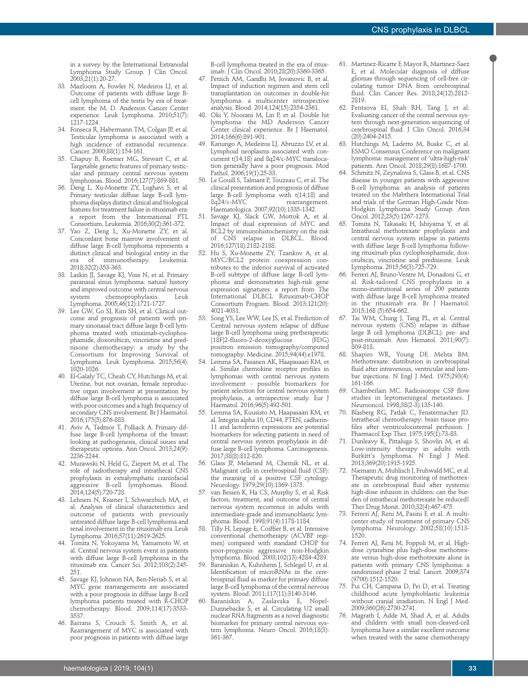in a survey by the International Extranodal Lymphoma Study Group. J Clin Oncol. 2003;21(1):20-27.

- 33. Mazloom A, Fowler N, Medeiros LJ, et al. Outcome of patients with diffuse large Bcell lymphoma of the testis by era of treatment: the M. D. Anderson Cancer Center experience. Leuk Lymphoma. 2010;51(7): 1217-1224.
- 34. Fonseca R, Habermann TM, Colgan JP, et al. Testicular lymphoma is associated with a high incidence of extranodal recurrence. Cancer. 2000;88(1):154-161.
- 35. Chapuy B, Roemer MG, Stewart C, et al. Targetable genetic features of primary testicular and primary central nervous system lymphomas. Blood. 2016;127(7):869-881.
- 36. Deng L, Xu-Monette ZY, Loghavi S, et al. Primary testicular diffuse large B-cell lymphoma displays distinct clinical and biological features for treatment failure in rituximab era: a report from the International PTL Consortium. Leukemia. 2016;30(2):361-372.
- 37. Yao Z, Deng L, Xu-Monette ZY, et al. Concordant bone marrow involvement of diffuse large B-cell lymphoma represents a distinct clinical and biological entity in the<br>era of immunotherapy. Leukemia. era of immunotherapy. 2018;32(2):353-363.
- 38. Laskin JJ, Savage KJ, Voss N, et al. Primary paranasal sinus lymphoma: natural history and improved outcome with central nervous system chemoprophylaxis. Leuk Lymphoma. 2005;46(12):1721-1727.
- 39. Lee GW, Go SI, Kim SH, et al. Clinical outcome and prognosis of patients with primary sinonasal tract diffuse large B-cell lymphoma treated with rituximab-cyclophosphamide, doxorubicin, vincristine and prednisone chemotherapy: a study by the Consortium for Improving Survival of Lymphoma. Leuk Lymphoma. 2015;56(4): 1020-1026.
- 40. El-Galaly TC, Cheah CY, Hutchings M, et al. Uterine, but not ovarian, female reproductive organ involvement at presentation by diffuse large B-cell lymphoma is associated with poor outcomes and a high frequency of secondary CNS involvement. Br J Haematol. 2016;175(5):876-883.
- 41. Aviv A, Tadmor T, Polliack A. Primary diffuse large B-cell lymphoma of the breast: looking at pathogenesis, clinical issues and therapeutic options. Ann Oncol. 2013;24(9): 2236-2244.
- 42. Murawski N, Held G, Ziepert M, et al. The role of radiotherapy and intrathecal CNS prophylaxis in extralymphatic craniofacial aggressive B-cell lymphomas. Blood. 2014;124(5):720-728.
- 43. Lehners N, Kramer I, Schwarzbich MA, et al. Analysis of clinical characteristics and outcome of patients with previously untreated diffuse large B-cell lymphoma and renal involvement in the rituximab era. Leuk Lymphoma. 2016;57(11):2619-2625.
- 44. Tomita N, Yokoyama M, Yamamoto W, et al. Central nervous system event in patients with diffuse large B-cell lymphoma in the rituximab era. Cancer Sci. 2012;103(2):245- 251.
- 45. Savage KJ, Johnson NA, Ben-Neriah S, et al. MYC gene rearrangements are associated with a poor prognosis in diffuse large B-cell lymphoma patients treated with R-CHOP chemotherapy. Blood. 2009;114(17):3533- 3537.
- 46. Barrans S, Crouch S, Smith A, et al. Rearrangement of MYC is associated with poor prognosis in patients with diffuse large

B-cell lymphoma treated in the era of rituximab. J Clin Oncol. 2010;28(20):3360-3365.

- 47. Petrich AM, Gandhi M, Jovanovic B, et al. Impact of induction regimen and stem cell transplantation on outcomes in double-hit lymphoma: a multicenter retrospective analysis. Blood. 2014;124(15):2354-2361.
- 48. Oki Y, Noorani M, Lin P, et al. Double hit lymphoma: the MD Anderson Cancer Center clinical experience. Br J Haematol. 2014;166(6):891-901.
- Kanungo A, Medeiros LJ, Abruzzo LV, et al. Lymphoid neoplasms associated with concurrent t(14;18) and 8q24/c-MYC translocation generally have a poor prognosis. Mod Pathol. 2006;19(1):25-33.
- 50. Le Gouill S, Talmant P, Touzeau C, et al. The clinical presentation and prognosis of diffuse large B-cell lymphoma with t(14;18) and<br>8q24/c-MYC rearrangement. 8q24/c-MYC rearrangement. Haematologica. 2007;92(10):1335-1342.
- 51. Savage KJ, Slack GW, Mottok A, et al. Impact of dual expression of MYC and BCL2 by immunohistochemistry on the risk of CNS relapse in DLBCL. Blood. 2016;127(18):2182-2188.
- 52. Hu S, Xu-Monette ZY, Tzankov A, et al. MYC/BCL2 protein coexpression contributes to the inferior survival of activated B-cell subtype of diffuse large B-cell lymphoma and demonstrates high-risk gene expression signatures: a report from The International DLBCL Rituximab-CHOP Consortium Program. Blood. 2013;121(20): 4021-4031.
- 53. Song YS, Lee WW, Lee JS, et al. Prediction of Central nervous system relapse of diffuse large B-cell lymphoma using pretherapeutic [18F]2-fluoro-2-deoxyglucose (FDG) positron emission tomography/computed tomography. Medicine. 2015;94(44):e1978.
- 54. Lemma SA, Pasanen AK, Haapasaari KM, et al. Similar chemokine receptor profiles in lymphomas with central nervous system involvement - possible biomarkers for patient selection for central nervous system prophylaxis, a retrospective study. Eur J Haematol. 2016;96(5):492-501.
- 55. Lemma SA, Kuusisto M, Haapasaari KM, et al. Integrin alpha 10, CD44, PTEN, cadherin-11 and lactoferrin expressions are potential biomarkers for selecting patients in need of central nervous system prophylaxis in diffuse large B-cell lymphoma. Carcinogenesis. 2017;38(8):812-820.
- 56. Glass JP, Melamed M, Chernik NL, et al. Malignant cells in cerebrospinal fluid (CSF): the meaning of a positive CSF cytology. Neurology. 1979;29(10):1369-1375.
- van Besien K, Ha CS, Murphy S, et al. Risk factors, treatment, and outcome of central nervous system recurrence in adults with intermediate-grade and immunoblastic lymphoma. Blood. 1998;91(4):1178-1184.
- 58. Tilly H, Lepage E, Coiffier B, et al. Intensive conventional chemotherapy (ACVBP regimen) compared with standard CHOP for poor-prognosis aggressive non-Hodgkin lymphoma. Blood. 2003;102(13):4284-4289.
- 59. Baraniskin A, Kuhnhenn J, Schlegel U, et al. Identification of microRNAs in the cerebrospinal fluid as marker for primary diffuse large B-cell lymphoma of the central nervous system. Blood. 2011;117(11):3140-3146.
- Baraniskin A, Zaslavska E, Nopel-Dunnebacke S, et al. Circulating U2 small nuclear RNA fragments as a novel diagnostic biomarker for primary central nervous system lymphoma. Neuro Oncol. 2016;18(3): 361-367.
- 61. Martinez-Ricarte F, Mayor R, Martinez-Saez E, et al. Molecular diagnosis of diffuse gliomas through sequencing of cell-free circulating tumor DNA from cerebrospinal fluid. Clin Cancer Res. 2018;24(12):2812- 2819.
- 62. Pentsova EI, Shah RH, Tang J, et al. Evaluating cancer of the central nervous system through next-generation sequencing of cerebrospinal fluid. J Clin Oncol. 2016;34 (20):2404-2415.
- Hutchings M, Ladetto M, Buske C, et al. ESMO Consensus Conference on malignant lymphoma: management of 'ultra-high-risk' patients. Ann Oncol. 2018;29(8):1687-1700.
- 64. Schmitz N, Zeynalova S, Glass B, et al. CNS disease in younger patients with aggressive B-cell lymphoma: an analysis of patients treated on the Mabthera International Trial and trials of the German High-Grade Non-Hodgkin Lymphoma Study Group. Ann Oncol. 2012;23(5):1267-1273.
- 65. Tomita N, Takasaki H, Ishiyama Y, et al. Intrathecal methotrexate prophylaxis and central nervous system relapse in patients with diffuse large B-cell lymphoma following rituximab plus cyclophosphamide, doxorubicin, vincristine and prednisone. Leuk Lymphoma. 2015;56(3):725-729.
- 66. Ferreri AJ, Bruno-Ventre M, Donadoni G, et al. Risk-tailored CNS prophylaxis in a mono-institutional series of 200 patients with diffuse large B-cell lymphoma treated in the rituximab era. Br J Haematol. 2015;168 (5):654-662.
- 67. Tai WM, Chung J, Tang PL, et al. Central nervous system (CNS) relapse in diffuse large B cell lymphoma (DLBCL): pre- and post-rituximab. Ann Hematol. 2011;90(7): 809-818.
- 68. Shapiro WR, Young DF, Mehta BM. Methotrexate: distribution in cerebrospinal fluid after intravenous, ventricular and lumbar injections. N Engl J Med. 1975;293(4): 161-166.
- 69. Chamberlain MC. Radioisotope CSF flow studies in leptomeningeal metastases. J Neurooncol. 1998;38(2-3):135-140.
- 70. Blasberg RG, Patlak C, Fenstermacher JD. Intrathecal chemotherapy: brain tissue profiles after ventriculocisternal perfusion. J Pharmacol Exp Ther. 1975;195(1):73-83.
- 71. Dunleavy K, Pittaluga S, Shovlin M, et al. Low-intensity therapy in adults with Burkitt's lymphoma. N Engl J Med. 2013;369(20):1915-1925.
- 72. Niemann A, Muhlisch J, Fruhwald MC, et al. Therapeutic drug monitoring of methotrexate in cerebrospinal fluid after systemic high-dose infusion in children: can the burden of intrathecal methotrexate be reduced? Ther Drug Monit. 2010;32(4):467-475.
- 73. Ferreri AJ, Reni M, Pasini F, et al. A multicenter study of treatment of primary CNS lymphoma. Neurology. 2002;58(10):1513- 1520.
- 74. Ferreri AJ, Reni M, Foppoli M, et al. Highdose cytarabine plus high-dose methotrexate versus high-dose methotrexate alone in patients with primary CNS lymphoma: a randomised phase 2 trial. Lancet. 2009;374 (9700):1512-1520.
- 75. Pui CH, Campana D, Pei D, et al. Treating childhood acute lymphoblastic leukemia without cranial irradiation. N Engl J Med. 2009;360(26):2730-2741.
- 76. Magrath I, Adde M, Shad A, et al. Adults and children with small non-cleaved-cell lymphoma have a similar excellent outcome when treated with the same chemotherapy